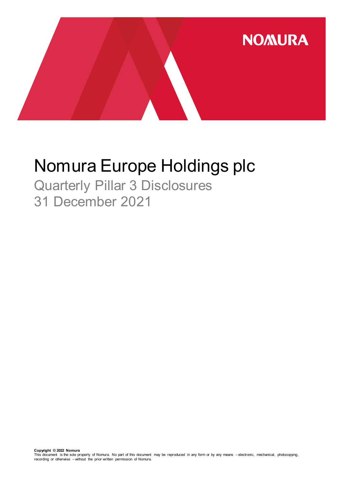

# Nomura Europe Holdings plc

Quarterly Pillar 3 Disclosures 31 December 2021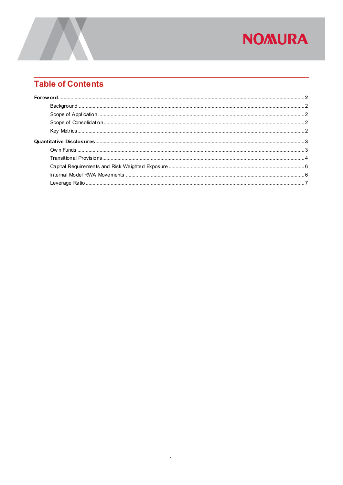## **NOMURA**

### **Table of Contents**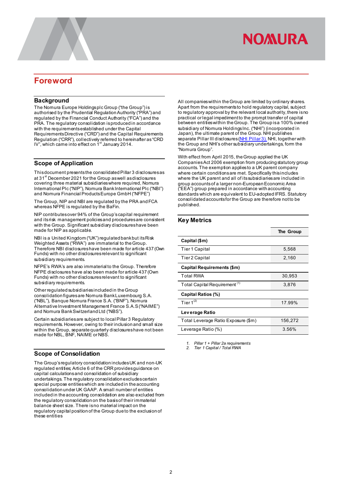## **NOMURA**

### <span id="page-2-0"></span>**Foreword**

#### <span id="page-2-1"></span>**Background**

The Nomura Europe Holdings plc Group ("the Group") is authorised by the Prudential Regulation Authority ("PRA") and regulated by the Financial Conduct Authority ("FCA") and the PRA. The regulatory consolidation is produced in accordance with the requirements established under the Capital Requirements Directive ("CRD") and the Capital Requirements Regulation ("CRR"), collectively referred to hereinafter as "CRD<br>IV", which came into effect on 1<sup>st</sup> January 2014.

#### <span id="page-2-2"></span>**Scope of Application**

This document presents the consolidatedPillar 3 disclosures as at 31<sup>st</sup> December 2021 for the Group as well as disclosures covering three material subsidiaries where required, Nomura International Plc ("NIP"), Nomura Bank International Plc ("NBI") and Nomura Financial Products Europe GmbH ("NFPE")

The Group, NIP and NBI are regulated by the PRA and FCA whereas NFPE is regulated by the BaFin.

NIP contributesover 94% of the Group's capital requirement and its risk management policies and procedures are consistent with the Group. Significant subsidiary disclosures have been made for NIP as applicable.

NBI is a United Kingdom ("UK") regulated bank but its Risk Weighted Assets ("RWA") are immaterial to the Group. Therefore NBI disclosures have been made for article 437 (Own Funds) with no other disclosures relevant to significant subsidiary requirements.

NFPE's RWA's are also immaterial to the Group. Therefore NFPE disclosures have also been made for article 437 (Own Funds) with no other disclosures relevant to significant subsidiary requirements.

Other regulated subsidiaries included in theGroup consolidation figures are Nomura Bank Luxembourg S.A. ("NBL"), Banque Nomura France S.A. ("BNF"), Nomura Alternative Investment Management France S.A.S ("NAIME") and Nomura Bank Switzerland Ltd ("NBS").

Certain subsidiaries are subject to local Pillar 3 Regulatory requirements. However, owing to their inclusion and small size within the Group, separate quarterly disclosures have not been made for NBL, BNF, NAIME or NBS.

#### <span id="page-2-3"></span>**Scope of Consolidation**

The Group's regulatory consolidation includes UK and non-UK regulated entities; Article 6 of the CRR provides guidance on capital calculations and consolidation of subsidiary undertakings. The regulatory consolidation excludes certain special purpose entities which are included in the accounting consolidation under UK GAAP. A small number of entities included in the accounting consolidation are also excluded from the regulatory consolidation on the basis of their immaterial balance sheet size. There is no material impact on the regulatory capital position of the Group due to the exclusion of these entities

All companies within the Group are limited by ordinary shares. Apart from the requirements to hold regulatory capital, subject to regulatory approval by the relevant local authority, there is no practical or legal impediment to the prompt transfer of capital between entities within the Group. The Group is a 100% owned subsidiary of Nomura Holdings Inc. ("NHI") (incorporated in Japan), the ultimate parent of the Group. NHI publishes separate Pillar III disclosures [\(NHI Pillar 3\)](https://www.nomuraholdings.com/investor/summary/highlight/ratio.html). NHI, together with the Group and NHI's other subsidiary undertakings, form the "Nomura Group".

With effect from April 2015, the Group applied the UK Companies Act 2006 exemption from producing statutory group accounts. The exemption applies to a UK parent company where certain conditions are met. Specifically this includes where the UK parent and all of its subsidiaries are included in group accounts of a larger non-European Economic Area ("EEA") group prepared in accordance with accounting standards which are equivalent to EU-adopted IFRS. Statutory consolidated accounts for the Group are therefore not to be published.

#### <span id="page-2-4"></span>**Key Metrics**

|                                          | The Group |
|------------------------------------------|-----------|
| Capital (\$m)                            |           |
| <b>Tier 1 Capital</b>                    | 5,568     |
| <b>Tier 2 Capital</b>                    | 2,160     |
| Capital Requirements (\$m)               |           |
| <b>Total RWA</b>                         | 30,953    |
| Total Capital Requirement <sup>(1)</sup> | 3,876     |
| Capital Ratios (%)                       |           |
| Tier $1^{(2)}$                           | 17.99%    |
| Leverage Ratio                           |           |
| Total Leverage Ratio Exposure (\$m)      | 156,272   |
| Leverage Ratio (%)                       | 3.56%     |

*1. Pillar 1 + Pillar 2a requirements*

*2. Tier 1 Capital / Total RWA*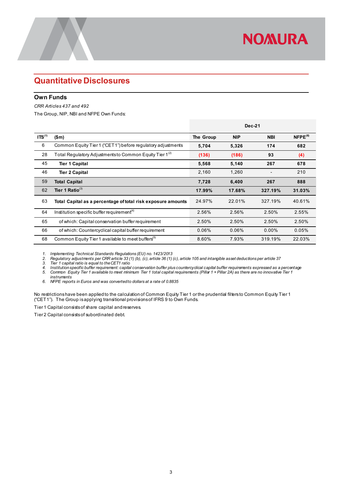### <span id="page-3-0"></span>**Quantitative Disclosures**

#### <span id="page-3-1"></span>**Own Funds**

*CRR Articles 437 and 492* 

The Group, NIP, NBI and NFPE Own Funds:

|                    |                                                               | <b>Dec-21</b> |            |            |               |
|--------------------|---------------------------------------------------------------|---------------|------------|------------|---------------|
| ITS <sup>(1)</sup> | \$m\$                                                         | The Group     | <b>NIP</b> | <b>NBI</b> | $N$ FPE $(6)$ |
| 6                  | Common Equity Tier 1 ("CET1") before regulatory adjustments   | 5,704         | 5,326      | 174        | 682           |
| 28                 | Total Regulatory Adjustments to Common Equity Tier 1 $^{(2)}$ | (136)         | (186)      | 93         | (4)           |
| 45                 | <b>Tier 1 Capital</b>                                         | 5,568         | 5,140      | 267        | 678           |
| 46                 | <b>Tier 2 Capital</b>                                         | 2,160         | 1,260      |            | 210           |
| 59                 | <b>Total Capital</b>                                          | 7,728         | 6,400      | 267        | 888           |
| 62                 | Tier 1 Ratio <sup>(3)</sup>                                   | 17.99%        | 17.68%     | 327.19%    | 31.03%        |
| 63                 | Total Capital as a percentage of total risk exposure amounts  | 24.97%        | 22.01%     | 327.19%    | 40.61%        |
| 64                 | Institution specific buffer requirement <sup>(4)</sup>        | 2.56%         | 2.56%      | 2.50%      | 2.55%         |
| 65                 | of which: Capital conservation buffer requirement             | 2.50%         | 2.50%      | 2.50%      | 2.50%         |
| 66                 | of which: Countercyclical capital buffer requirement          | 0.06%         | 0.06%      | $0.00\%$   | 0.05%         |
| 68                 | Common Equity Tier 1 available to meet buffers <sup>(5)</sup> | 8.60%         | 7.93%      | 319.19%    | 22.03%        |

**NOMURA** 

*1. Implementing Technical Standards Regulations (EU) no. 1423/2013*

*2. Regulatory adjustments per CRR article 33 (1) (b), (c), article 36 (1) (c), article 105 and intangible asset deductions per article 37*

3. Tier 1 capital ratio is equal to the CET1 ratio<br>4. Institution specific buffer requirement: capital conservation buffer plus countercyclical capital buffer requirements expressed as a percentage<br>5. Common Equity

*instruments*

*6. NFPE reports in Euros and was converted to dollars at a rate of 0.8835*

No restrictions have been applied to the calculation of Common Equity Tier 1 or the prudential filters to Common Equity Tier 1 ("CET1"). The Group is applying transitional provisions of IFRS 9 to Own Funds.

Tier 1 Capital consists of share capital and reserves.

Tier 2 Capital consists of subordinated debt.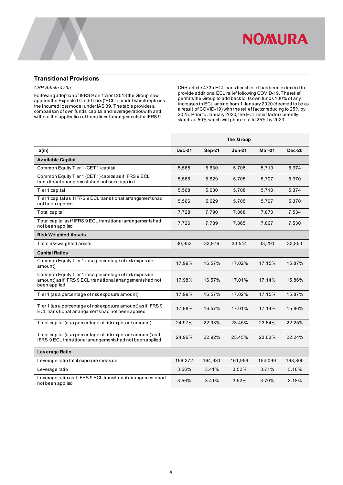

#### <span id="page-4-0"></span>**Transitional Provisions**

#### *CRR Article 473a*

Following adoption of IFRS 9 on 1 April 2018 the Group now applies the Expected Credit Loss ("ECL") model which replaces the incurred loss model under IAS 39. The table provides a comparison of own funds, capital and leverage ratios with and without the application of transitional arrangements for IFRS 9.

CRR article 473a ECL transitional relief has been extended to provide additional ECL relief following COVID-19. The relief permits the Group to add back to its own funds 100% of any increases in ECL arising from 1 January 2020 (deemed to be as a result of COVID-19) with the relief factor reducing to 25% by 2025. Prior to January 2020, the ECL relief factor currently stands at 50% which will phase out to 25% by 2023.

|                                                                                                                                      | The Group     |         |          |          |               |
|--------------------------------------------------------------------------------------------------------------------------------------|---------------|---------|----------|----------|---------------|
| $$$ (m)                                                                                                                              | <b>Dec-21</b> | Sep-21  | $Jun-21$ | $Mar-21$ | <b>Dec-20</b> |
| <b>Available Capital</b>                                                                                                             |               |         |          |          |               |
| Common Equity Tier 1 (CET1) capital                                                                                                  | 5,568         | 5,630   | 5,708    | 5,710    | 5,374         |
| Common Equity Tier 1 (CET1) capital as if IFRS 9 ECL<br>transitional arrangementshad not been applied                                | 5,566         | 5,629   | 5,705    | 5,707    | 5,370         |
| Tier 1 capital                                                                                                                       | 5,568         | 5,630   | 5,708    | 5,710    | 5,374         |
| Tier 1 capital asif IFRS 9 ECL transitional arrangementshad<br>not been applied                                                      | 5,566         | 5,629   | 5,705    | 5,707    | 5,370         |
| Total capital                                                                                                                        | 7,728         | 7,790   | 7,868    | 7,870    | 7,534         |
| Total capital as if IFRS 9 ECL transitional arrangementshad<br>not been applied                                                      | 7,726         | 7,789   | 7,865    | 7,867    | 7,530         |
| <b>Risk Weighted Assets</b>                                                                                                          |               |         |          |          |               |
| Total risk-weighted assets                                                                                                           | 30,953        | 33,976  | 33,544   | 33,291   | 33,853        |
| <b>Capital Ratios</b>                                                                                                                |               |         |          |          |               |
| Common Equity Tier 1 (as a percentage of risk exposure<br>amount)                                                                    | 17.99%        | 16.57%  | 17.02%   | 17.15%   | 15.87%        |
| Common Equity Tier 1 (as a percentage of risk exposure<br>amount) as if IFRS 9 ECL transitional arrangements had not<br>been applied | 17.98%        | 16.57%  | 17.01%   | 17.14%   | 15.86%        |
| Tier 1 (as a percentage of risk exposure amount)                                                                                     | 17.99%        | 16.57%  | 17.02%   | 17.15%   | 15.87%        |
| Tier 1 (as a percentage of risk exposure amount) as if IFRS 9<br>ECL transitional arrangementshad not been applied                   | 17.98%        | 16.57%  | 17.01%   | 17.14%   | 15.86%        |
| Total capital (as a percentage of riskexposure amount)                                                                               | 24.97%        | 22.93%  | 23.45%   | 23.64%   | 22.25%        |
| Total capital (as a percentage of riskexposure amount) as if<br>IFRS 9 ECL transitional arrangementshad not been applied             | 24.96%        | 22.92%  | 23.45%   | 23.63%   | 22.24%        |
| Leverage Ratio                                                                                                                       |               |         |          |          |               |
| Leverage ratio total exposure measure                                                                                                | 156,272       | 164,931 | 161,959  | 154,099  | 168,800       |
| Leverage ratio                                                                                                                       | 3.56%         | 3.41%   | 3.52%    | 3.71%    | 3.18%         |
| Leverage ratio asif IFRS 9 ECL transitional arrangementshad<br>not been applied                                                      | 3.56%         | 3.41%   | 3.52%    | 3.70%    | 3.18%         |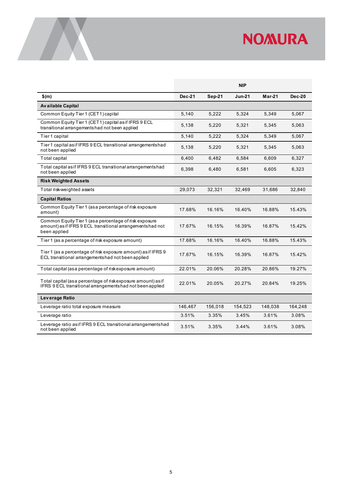

|                                                                                                                                      |               |               | <b>NIP</b>    |          |          |
|--------------------------------------------------------------------------------------------------------------------------------------|---------------|---------------|---------------|----------|----------|
| $$$ (m)                                                                                                                              | <b>Dec-21</b> | <b>Sep-21</b> | <b>Jun-21</b> | $Mar-21$ | $Dec-20$ |
| <b>Available Capital</b>                                                                                                             |               |               |               |          |          |
| Common Equity Tier 1 (CET1) capital                                                                                                  | 5,140         | 5,222         | 5,324         | 5,349    | 5,067    |
| Common Equity Tier 1 (CET1) capital as if IFRS 9 ECL<br>transitional arrangements had not been applied                               | 5,138         | 5,220         | 5,321         | 5,345    | 5,063    |
| Tier 1 capital                                                                                                                       | 5,140         | 5,222         | 5,324         | 5,349    | 5,067    |
| Tier 1 capital as if IFRS 9 ECL transitional arrangementshad<br>not been applied                                                     | 5,138         | 5,220         | 5,321         | 5,345    | 5,063    |
| Total capital                                                                                                                        | 6,400         | 6,482         | 6,584         | 6,609    | 6,327    |
| Total capital as if IFRS 9 ECL transitional arrangementshad<br>not been applied                                                      | 6,398         | 6,480         | 6,581         | 6,605    | 6,323    |
| <b>Risk Weighted Assets</b>                                                                                                          |               |               |               |          |          |
| Total risk-weighted assets                                                                                                           | 29,073        | 32,321        | 32,469        | 31,686   | 32,840   |
| <b>Capital Ratios</b>                                                                                                                |               |               |               |          |          |
| Common Equity Tier 1 (as a percentage of risk exposure<br>amount)                                                                    | 17.68%        | 16.16%        | 16.40%        | 16.88%   | 15.43%   |
| Common Equity Tier 1 (as a percentage of risk exposure<br>amount) as if IFRS 9 ECL transitional arrangements had not<br>been applied | 17.67%        | 16.15%        | 16.39%        | 16.87%   | 15.42%   |
| Tier 1 (as a percentage of risk exposure amount)                                                                                     | 17.68%        | 16.16%        | 16.40%        | 16.88%   | 15.43%   |
| Tier 1 (as a percentage of risk exposure amount) as if IFRS 9<br>ECL transitional arrangementshad not been applied                   | 17.67%        | 16.15%        | 16.39%        | 16.87%   | 15.42%   |
| Total capital (as a percentage of riskexposure amount)                                                                               | 22.01%        | 20.06%        | 20.28%        | 20.86%   | 19.27%   |
| Total capital (as a percentage of riskexposure amount) as if<br>IFRS 9 ECL transitional arrangements had not been applied            | 22.01%        | 20.05%        | 20.27%        | 20.84%   | 19.25%   |
| Leverage Ratio                                                                                                                       |               |               |               |          |          |
| Leverage ratio total exposure measure                                                                                                | 146,467       | 156,018       | 154,523       | 148,038  | 164,248  |
| Leverage ratio                                                                                                                       | 3.51%         | 3.35%         | 3.45%         | 3.61%    | 3.08%    |
| Leverage ratio as if IFRS 9 ECL transitional arrangementshad<br>not been applied                                                     | 3.51%         | 3.35%         | 3.44%         | 3.61%    | 3.08%    |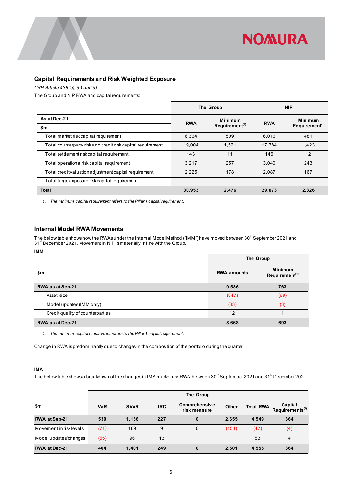

#### <span id="page-6-0"></span>**Capital Requirements and Risk Weighted Exposure**

*CRR Article 438 (c), (e) and (f)*

The Group and NIP RWA and capital requirements:

|                                                             |            | The Group                  | <b>NIP</b> |                            |
|-------------------------------------------------------------|------------|----------------------------|------------|----------------------------|
| As at Dec-21                                                | <b>RWA</b> | <b>Minimum</b>             | <b>RWA</b> | <b>Minimum</b>             |
| \$m                                                         |            | Requirement <sup>(1)</sup> |            | Requirement <sup>(1)</sup> |
| Total market risk capital requirement                       | 6.364      | 509                        | 6,016      | 481                        |
| Total counterparty risk and credit risk capital requirement | 19.004     | 1.521                      | 17.784     | 1.423                      |
| Total settlement riskcapital requirement                    | 143        | 11                         | 146        | 12                         |
| Total operational risk capital requirement                  | 3.217      | 257                        | 3.040      | 243                        |
| Total credit valuation adjustment capital requirement       | 2.225      | 178                        | 2.087      | 167                        |
| Total large exposure riskcapital requirement                |            |                            |            |                            |
| <b>Total</b>                                                | 30,953     | 2.476                      | 29,073     | 2,326                      |

*1. The minimum capital requirement refers to the Pillar 1 capital requirement.*

#### <span id="page-6-1"></span>**Internal Model RWA Movements**

The below table shows how the RWAs under the Internal Model Method ("IMM") have moved between 30<sup>th</sup> September 2021 and 31st December 2021. Movement in NIP is materially in line with the Group.

#### **IMM**

|                                  | The Group          |                                              |  |  |
|----------------------------------|--------------------|----------------------------------------------|--|--|
| \$m                              | <b>RWA amounts</b> | <b>Minimum</b><br>Requirement <sup>(1)</sup> |  |  |
| RWA as at Sep-21                 | 9,536              | 763                                          |  |  |
| Asset size                       | (847)              | (68)                                         |  |  |
| Model updates (IMM only)         | (33)               | (3)                                          |  |  |
| Credit quality of counterparties | 12                 |                                              |  |  |
| <b>RWA as at Dec-21</b>          | 8,668              | 693                                          |  |  |

*1. The minimum capital requirement refers to the Pillar 1 capital requirement.*

Change in RWA is predominantly due to changes in the composition of the portfolio during the quarter.

#### **IMA**

The below table shows a breakdown of the changes in IMA market risk RWA between  $30^{\text{th}}$  September 2021 and 31<sup>st</sup> December 2021

|                        | The Group  |             |            |                               |       |                  |                                        |
|------------------------|------------|-------------|------------|-------------------------------|-------|------------------|----------------------------------------|
| \$m\$                  | <b>VaR</b> | <b>SVaR</b> | <b>IRC</b> | Comprehensive<br>risk measure | Other | <b>Total RWA</b> | Capital<br>Requirements <sup>(1)</sup> |
| RWA at Sep-21          | 530        | 1.136       | 227        | 0                             | 2,655 | 4.549            | 364                                    |
| Movement in risklevels | (71)       | 169         | 9          | 0                             | (154) | (47)             | (4)                                    |
| Model updates/changes  | (55)       | 96          | 13         |                               |       | 53               | 4                                      |
| <b>RWA at Dec-21</b>   | 404        | 1,401       | 249        | $\bf{0}$                      | 2,501 | 4,555            | 364                                    |